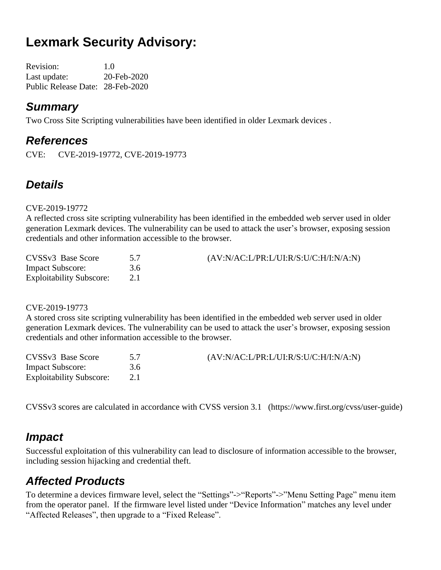# **Lexmark Security Advisory:**

Revision: 1.0 Last update: 20-Feb-2020 Public Release Date: 28-Feb-2020

#### *Summary*

Two Cross Site Scripting vulnerabilities have been identified in older Lexmark devices .

#### *References*

CVE: CVE-2019-19772, CVE-2019-19773

### *Details*

#### CVE-2019-19772

A reflected cross site scripting vulnerability has been identified in the embedded web server used in older generation Lexmark devices. The vulnerability can be used to attack the user's browser, exposing session credentials and other information accessible to the browser.

| CVSSv3 Base Score               |     | $(AV:N/AC: L/PR: L/UI: R/S: U/C:H/I:N/A:N)$ |
|---------------------------------|-----|---------------------------------------------|
| <b>Impact Subscore:</b>         | 3.6 |                                             |
| <b>Exploitability Subscore:</b> |     |                                             |

CVE-2019-19773

A stored cross site scripting vulnerability has been identified in the embedded web server used in older generation Lexmark devices. The vulnerability can be used to attack the user's browser, exposing session credentials and other information accessible to the browser.

| CVSSv3 Base Score               |     | $(AV:N/AC: L/PR: L/UI: R/S: U/C: H/I: N/A: N)$ |
|---------------------------------|-----|------------------------------------------------|
| <b>Impact Subscore:</b>         | 3.6 |                                                |
| <b>Exploitability Subscore:</b> |     |                                                |

CVSSv3 scores are calculated in accordance with CVSS version 3.1 (https://www.first.org/cvss/user-guide)

### *Impact*

Successful exploitation of this vulnerability can lead to disclosure of information accessible to the browser, including session hijacking and credential theft.

## *Affected Products*

To determine a devices firmware level, select the "Settings"->"Reports"->"Menu Setting Page" menu item from the operator panel. If the firmware level listed under "Device Information" matches any level under "Affected Releases", then upgrade to a "Fixed Release".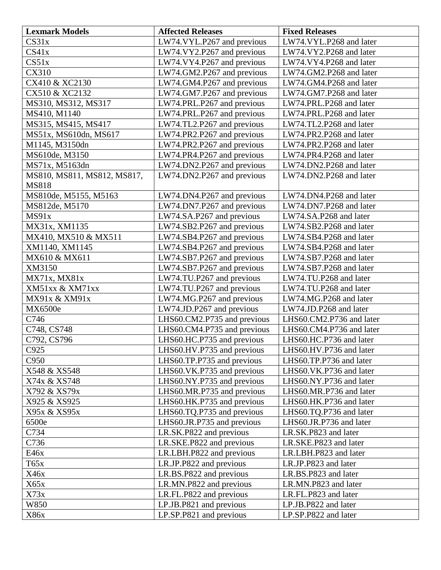| <b>Lexmark Models</b>       | <b>Affected Releases</b>    | <b>Fixed Releases</b>    |
|-----------------------------|-----------------------------|--------------------------|
| CS31x                       | LW74.VYL.P267 and previous  | LW74.VYL.P268 and later  |
| CS41x                       | LW74.VY2.P267 and previous  | LW74.VY2.P268 and later  |
| CS51x                       | LW74.VY4.P267 and previous  | LW74.VY4.P268 and later  |
| <b>CX310</b>                | LW74.GM2.P267 and previous  | LW74.GM2.P268 and later  |
| CX410 & XC2130              | LW74.GM4.P267 and previous  | LW74.GM4.P268 and later  |
| CX510 & XC2132              | LW74.GM7.P267 and previous  | LW74.GM7.P268 and later  |
| MS310, MS312, MS317         | LW74.PRL.P267 and previous  | LW74.PRL.P268 and later  |
| MS410, M1140                | LW74.PRL.P267 and previous  | LW74.PRL.P268 and later  |
| MS315, MS415, MS417         | LW74.TL2.P267 and previous  | LW74.TL2.P268 and later  |
| MS51x, MS610dn, MS617       | LW74.PR2.P267 and previous  | LW74.PR2.P268 and later  |
| M1145, M3150dn              | LW74.PR2.P267 and previous  | LW74.PR2.P268 and later  |
| MS610de, M3150              | LW74.PR4.P267 and previous  | LW74.PR4.P268 and later  |
| MS71x, M5163dn              | LW74.DN2.P267 and previous  | LW74.DN2.P268 and later  |
| MS810, MS811, MS812, MS817, | LW74.DN2.P267 and previous  | LW74.DN2.P268 and later  |
| <b>MS818</b>                |                             |                          |
| MS810de, M5155, M5163       | LW74.DN4.P267 and previous  | LW74.DN4.P268 and later  |
| MS812de, M5170              | LW74.DN7.P267 and previous  | LW74.DN7.P268 and later  |
| MS91x                       | LW74.SA.P267 and previous   | LW74.SA.P268 and later   |
| MX31x, XM1135               | LW74.SB2.P267 and previous  | LW74.SB2.P268 and later  |
| MX410, MX510 & MX511        | LW74.SB4.P267 and previous  | LW74.SB4.P268 and later  |
| XM1140, XM1145              | LW74.SB4.P267 and previous  | LW74.SB4.P268 and later  |
| MX610 & MX611               | LW74.SB7.P267 and previous  | LW74.SB7.P268 and later  |
| XM3150                      | LW74.SB7.P267 and previous  | LW74.SB7.P268 and later  |
| MX71x, MX81x                | LW74.TU.P267 and previous   | LW74.TU.P268 and later   |
| XM51xx & XM71xx             | LW74.TU.P267 and previous   | LW74.TU.P268 and later   |
| MX91x & XM91x               | LW74.MG.P267 and previous   | LW74.MG.P268 and later   |
| MX6500e                     | LW74.JD.P267 and previous   | LW74.JD.P268 and later   |
| C746                        | LHS60.CM2.P735 and previous | LHS60.CM2.P736 and later |
| C748, CS748                 | LHS60.CM4.P735 and previous | LHS60.CM4.P736 and later |
| C792, CS796                 | LHS60.HC.P735 and previous  | LHS60.HC.P736 and later  |
| C925                        | LHS60.HV.P735 and previous  | LHS60.HV.P736 and later  |
| C950                        | LHS60.TP.P735 and previous  | LHS60.TP.P736 and later  |
| X548 & XS548                | LHS60.VK.P735 and previous  | LHS60.VK.P736 and later  |
| X74x & XS748                | LHS60.NY.P735 and previous  | LHS60.NY.P736 and later  |
| X792 & XS79x                | LHS60.MR.P735 and previous  | LHS60.MR.P736 and later  |
| X925 & XS925                | LHS60.HK.P735 and previous  | LHS60.HK.P736 and later  |
| X95x & XS95x                | LHS60.TQ.P735 and previous  | LHS60.TQ.P736 and later  |
| 6500e                       | LHS60.JR.P735 and previous  | LHS60.JR.P736 and later  |
| C734                        | LR.SK.P822 and previous     | LR.SK.P823 and later     |
| C736                        | LR.SKE.P822 and previous    | LR.SKE.P823 and later    |
| E46x                        | LR.LBH.P822 and previous    | LR.LBH.P823 and later    |
| T65x                        | LR.JP.P822 and previous     | LR.JP.P823 and later     |
| X46x                        | LR.BS.P822 and previous     | LR.BS.P823 and later     |
| X65x                        | LR.MN.P822 and previous     | LR.MN.P823 and later     |
| X73x                        | LR.FL.P822 and previous     | LR.FL.P823 and later     |
| W850                        | LP.JB.P821 and previous     | LP.JB.P822 and later     |
| X86x                        | LP.SP.P821 and previous     | LP.SP.P822 and later     |